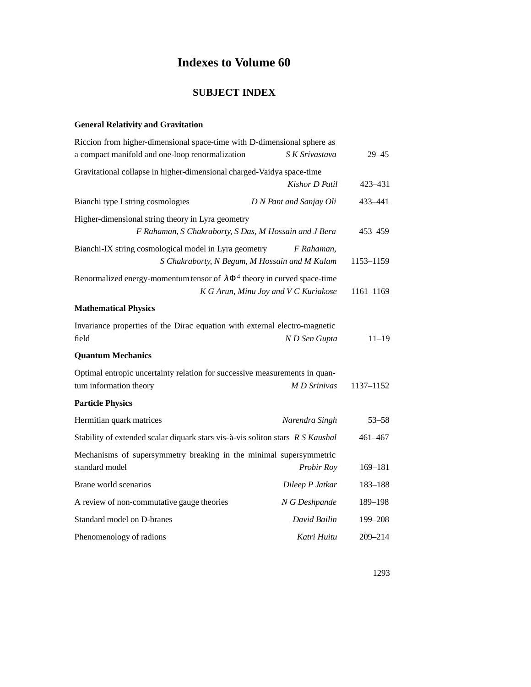# **Indexes to Volume 60**

# **SUBJECT INDEX**

#### **General Relativity and Gravitation**

| Riccion from higher-dimensional space-time with D-dimensional sphere as                              |                                                             |           |
|------------------------------------------------------------------------------------------------------|-------------------------------------------------------------|-----------|
| a compact manifold and one-loop renormalization                                                      | S K Srivastava                                              | $29 - 45$ |
| Gravitational collapse in higher-dimensional charged-Vaidya space-time                               |                                                             |           |
|                                                                                                      | Kishor D Patil                                              | 423-431   |
| Bianchi type I string cosmologies                                                                    | D N Pant and Sanjay Oli                                     | 433-441   |
| Higher-dimensional string theory in Lyra geometry                                                    |                                                             |           |
| F Rahaman, S Chakraborty, S Das, M Hossain and J Bera                                                |                                                             | 453-459   |
| Bianchi-IX string cosmological model in Lyra geometry                                                | F Rahaman,<br>S Chakraborty, N Begum, M Hossain and M Kalam | 1153-1159 |
| Renormalized energy-momentum tensor of $\lambda \Phi^4$ theory in curved space-time                  | K G Arun, Minu Joy and V C Kuriakose                        | 1161-1169 |
| <b>Mathematical Physics</b>                                                                          |                                                             |           |
| Invariance properties of the Dirac equation with external electro-magnetic                           |                                                             |           |
| field                                                                                                | N D Sen Gupta                                               | $11 - 19$ |
| <b>Quantum Mechanics</b>                                                                             |                                                             |           |
| Optimal entropic uncertainty relation for successive measurements in quan-<br>tum information theory | M D Srinivas                                                | 1137-1152 |
| <b>Particle Physics</b>                                                                              |                                                             |           |
| Hermitian quark matrices                                                                             | Narendra Singh                                              | $53 - 58$ |
|                                                                                                      |                                                             |           |
| Stability of extended scalar diquark stars vis-à-vis soliton stars R S Kaushal                       |                                                             | 461-467   |
| Mechanisms of supersymmetry breaking in the minimal supersymmetric<br>standard model                 | Probir Roy                                                  | 169-181   |
| Brane world scenarios                                                                                | Dileep P Jatkar                                             | 183-188   |
| A review of non-commutative gauge theories                                                           | N G Deshpande                                               | 189-198   |
| Standard model on D-branes                                                                           | David Bailin                                                | 199–208   |
| Phenomenology of radions                                                                             | Katri Huitu                                                 | 209-214   |
|                                                                                                      |                                                             |           |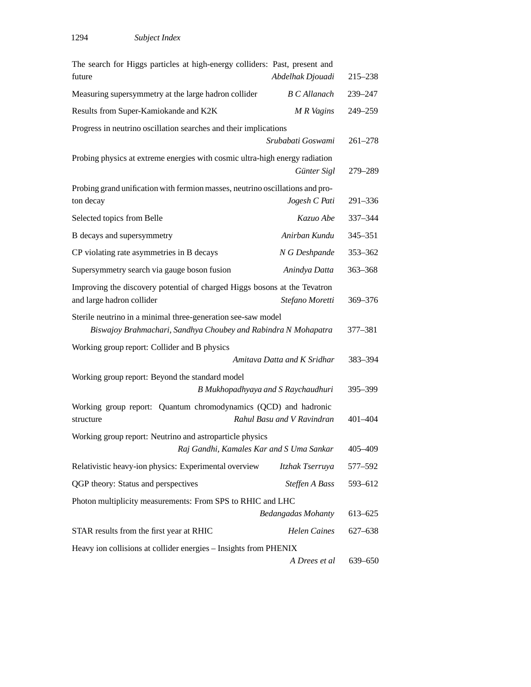| The search for Higgs particles at high-energy colliders: Past, present and<br>future                                           | Abdelhak Djouadi            | $215 - 238$ |
|--------------------------------------------------------------------------------------------------------------------------------|-----------------------------|-------------|
| Measuring supersymmetry at the large hadron collider                                                                           | <b>B</b> C Allanach         | 239-247     |
| Results from Super-Kamiokande and K2K                                                                                          | M R Vagins                  | 249-259     |
| Progress in neutrino oscillation searches and their implications                                                               | Srubabati Goswami           | $261 - 278$ |
| Probing physics at extreme energies with cosmic ultra-high energy radiation                                                    | Günter Sigl                 | 279-289     |
| Probing grand unification with fermion masses, neutrino oscillations and pro-<br>ton decay                                     | Jogesh C Pati               | 291-336     |
| Selected topics from Belle                                                                                                     | Kazuo Abe                   | 337-344     |
| B decays and supersymmetry                                                                                                     | Anirban Kundu               | $345 - 351$ |
| CP violating rate asymmetries in B decays                                                                                      | N G Deshpande               | 353-362     |
| Supersymmetry search via gauge boson fusion                                                                                    | Anindya Datta               | 363-368     |
| Improving the discovery potential of charged Higgs bosons at the Tevatron<br>and large hadron collider                         | Stefano Moretti             | 369-376     |
| Sterile neutrino in a minimal three-generation see-saw model<br>Biswajoy Brahmachari, Sandhya Choubey and Rabindra N Mohapatra |                             | 377-381     |
| Working group report: Collider and B physics                                                                                   | Amitava Datta and K Sridhar | 383-394     |
| Working group report: Beyond the standard model<br>B Mukhopadhyaya and S Raychaudhuri                                          |                             | 395-399     |
| Working group report: Quantum chromodynamics (QCD) and hadronic<br>structure                                                   | Rahul Basu and V Ravindran  | 401-404     |
| Working group report: Neutrino and astroparticle physics<br>Raj Gandhi, Kamales Kar and S Uma Sankar                           |                             | 405-409     |
| Relativistic heavy-ion physics: Experimental overview                                                                          | Itzhak Tserruya             | 577-592     |
| QGP theory: Status and perspectives                                                                                            | Steffen A Bass              | 593-612     |
| Photon multiplicity measurements: From SPS to RHIC and LHC                                                                     |                             |             |
|                                                                                                                                | <b>Bedangadas Mohanty</b>   | 613-625     |
| STAR results from the first year at RHIC                                                                                       | <b>Helen Caines</b>         | 627–638     |
| Heavy ion collisions at collider energies - Insights from PHENIX                                                               |                             |             |
|                                                                                                                                | A Drees et al               | 639-650     |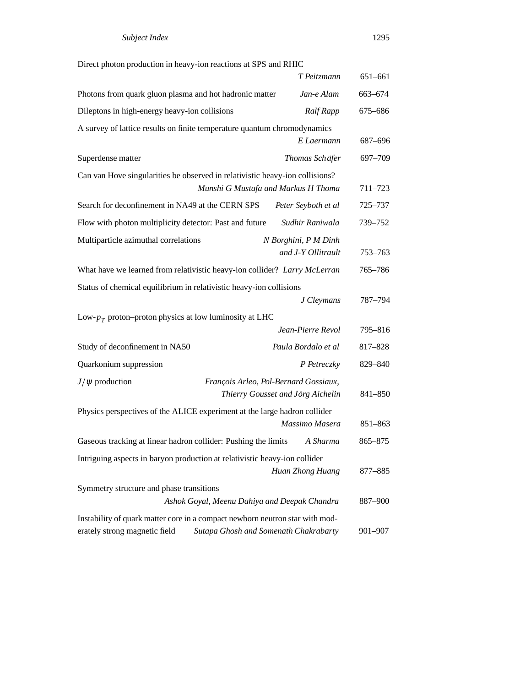| Direct photon production in heavy-ion reactions at SPS and RHIC                                               |                                                                            |         |
|---------------------------------------------------------------------------------------------------------------|----------------------------------------------------------------------------|---------|
|                                                                                                               | T Peitzmann                                                                | 651-661 |
| Photons from quark gluon plasma and hot hadronic matter                                                       | Jan-e Alam                                                                 | 663-674 |
| Dileptons in high-energy heavy-ion collisions                                                                 | <b>Ralf Rapp</b>                                                           | 675-686 |
| A survey of lattice results on finite temperature quantum chromodynamics                                      |                                                                            |         |
|                                                                                                               | E Laermann                                                                 | 687-696 |
| Superdense matter                                                                                             | Thomas Schäfer                                                             | 697-709 |
| Can van Hove singularities be observed in relativistic heavy-ion collisions?                                  | Munshi G Mustafa and Markus H Thoma                                        | 711-723 |
| Search for deconfinement in NA49 at the CERN SPS                                                              | Peter Seyboth et al                                                        | 725-737 |
| Flow with photon multiplicity detector: Past and future                                                       | Sudhir Raniwala                                                            | 739-752 |
| Multiparticle azimuthal correlations                                                                          | N Borghini, P M Dinh<br>and J-Y Ollitrault                                 | 753-763 |
| What have we learned from relativistic heavy-ion collider? Larry McLerran                                     |                                                                            | 765-786 |
| Status of chemical equilibrium in relativistic heavy-ion collisions                                           |                                                                            |         |
|                                                                                                               | J Cleymans                                                                 | 787-794 |
| Low- $p_T$ proton-proton physics at low luminosity at LHC                                                     |                                                                            |         |
|                                                                                                               | Jean-Pierre Revol                                                          | 795-816 |
| Study of deconfinement in NA50                                                                                | Paula Bordalo et al                                                        | 817-828 |
| Quarkonium suppression                                                                                        | P Petreczky                                                                | 829-840 |
| $J/\psi$ production                                                                                           | François Arleo, Pol-Bernard Gossiaux,<br>Thierry Gousset and Jörg Aichelin | 841-850 |
| Physics perspectives of the ALICE experiment at the large hadron collider                                     |                                                                            |         |
|                                                                                                               | Massimo Masera                                                             | 851-863 |
| Gaseous tracking at linear hadron collider: Pushing the limits                                                | A Sharma                                                                   | 865-875 |
| Intriguing aspects in baryon production at relativistic heavy-ion collider                                    | Huan Zhong Huang                                                           | 877-885 |
| Symmetry structure and phase transitions<br>Ashok Goyal, Meenu Dahiya and Deepak Chandra                      |                                                                            | 887-900 |
| Instability of quark matter core in a compact newborn neutron star with mod-<br>erately strong magnetic field | Sutapa Ghosh and Somenath Chakrabarty                                      | 901-907 |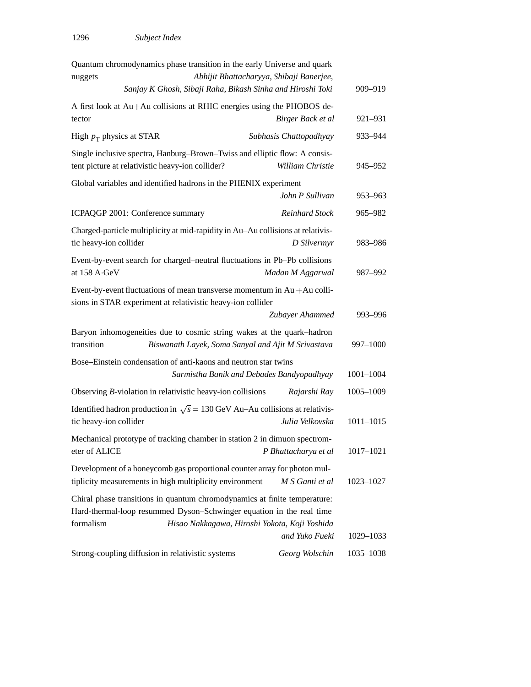| Quantum chromodynamics phase transition in the early Universe and quark                                                                                        |                                                            |               |
|----------------------------------------------------------------------------------------------------------------------------------------------------------------|------------------------------------------------------------|---------------|
| nuggets                                                                                                                                                        | Abhijit Bhattacharyya, Shibaji Banerjee,                   |               |
|                                                                                                                                                                | Sanjay K Ghosh, Sibaji Raha, Bikash Sinha and Hiroshi Toki | 909-919       |
| A first look at Au+Au collisions at RHIC energies using the PHOBOS de-<br>tector                                                                               | Birger Back et al                                          | 921-931       |
| High $p_T$ physics at STAR                                                                                                                                     | Subhasis Chattopadhyay                                     | 933-944       |
| Single inclusive spectra, Hanburg-Brown-Twiss and elliptic flow: A consis-<br>tent picture at relativistic heavy-ion collider?                                 | William Christie                                           | 945-952       |
| Global variables and identified hadrons in the PHENIX experiment                                                                                               | John P Sullivan                                            | 953-963       |
| ICPAQGP 2001: Conference summary                                                                                                                               | Reinhard Stock                                             | 965–982       |
| Charged-particle multiplicity at mid-rapidity in Au-Au collisions at relativis-<br>tic heavy-ion collider                                                      | D Silvermyr                                                | 983-986       |
| Event-by-event search for charged-neutral fluctuations in Pb-Pb collisions<br>at 158 A GeV                                                                     | Madan M Aggarwal                                           | 987-992       |
| Event-by-event fluctuations of mean transverse momentum in $Au + Au$ colli-<br>sions in STAR experiment at relativistic heavy-ion collider                     |                                                            |               |
|                                                                                                                                                                | Zubayer Ahammed                                            | 993-996       |
| Baryon inhomogeneities due to cosmic string wakes at the quark-hadron<br>transition                                                                            | Biswanath Layek, Soma Sanyal and Ajit M Srivastava         | 997-1000      |
| Bose-Einstein condensation of anti-kaons and neutron star twins                                                                                                | Sarmistha Banik and Debades Bandyopadhyay                  | $1001 - 1004$ |
| Observing B-violation in relativistic heavy-ion collisions                                                                                                     | Rajarshi Ray                                               | 1005-1009     |
| Identified hadron production in $\sqrt{s} = 130 \text{ GeV}$ Au-Au collisions at relativis-<br>tic heavy-ion collider                                          | Julia Velkovska                                            | $1011 - 1015$ |
| Mechanical prototype of tracking chamber in station 2 in dimuon spectrom-<br>eter of ALICE                                                                     | P Bhattacharya et al                                       | 1017-1021     |
| Development of a honeycomb gas proportional counter array for photon mul-<br>tiplicity measurements in high multiplicity environment                           | M S Ganti et al                                            | 1023-1027     |
| Chiral phase transitions in quantum chromodynamics at finite temperature:<br>Hard-thermal-loop resummed Dyson-Schwinger equation in the real time<br>formalism | Hisao Nakkagawa, Hiroshi Yokota, Koji Yoshida              |               |
|                                                                                                                                                                | and Yuko Fueki                                             | 1029-1033     |
| Strong-coupling diffusion in relativistic systems                                                                                                              | Georg Wolschin                                             | 1035-1038     |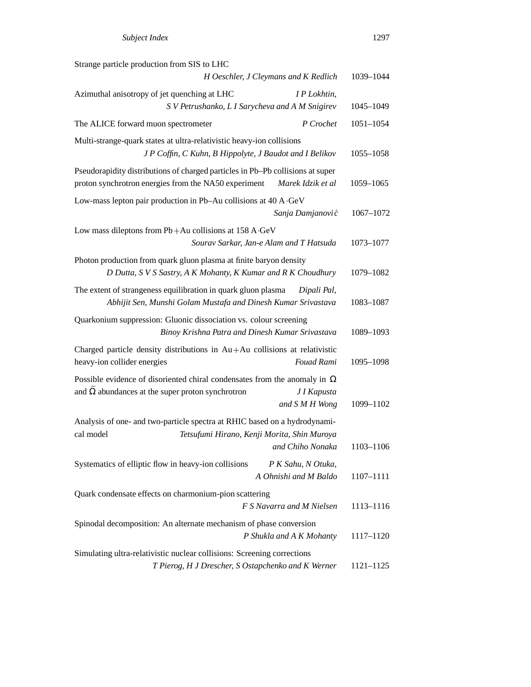| Strange particle production from SIS to LHC                                                                                                                                  |               |
|------------------------------------------------------------------------------------------------------------------------------------------------------------------------------|---------------|
| H Oeschler, J Cleymans and K Redlich                                                                                                                                         | 1039-1044     |
| Azimuthal anisotropy of jet quenching at LHC<br>I P Lokhtin,<br>S V Petrushanko, L I Sarycheva and A M Snigirev                                                              | 1045-1049     |
| The ALICE forward muon spectrometer<br>P Crochet                                                                                                                             | $1051 - 1054$ |
| Multi-strange-quark states at ultra-relativistic heavy-ion collisions                                                                                                        |               |
| J P Coffin, C Kuhn, B Hippolyte, J Baudot and I Belikov                                                                                                                      | 1055-1058     |
| Pseudorapidity distributions of charged particles in Pb-Pb collisions at super<br>proton synchrotron energies from the NA50 experiment<br>Marek Idzik et al                  | 1059-1065     |
| Low-mass lepton pair production in Pb-Au collisions at 40 A GeV<br>Sanja Damjanović                                                                                          | 1067-1072     |
| Low mass dileptons from $Pb + Au$ collisions at 158 A GeV                                                                                                                    |               |
| Sourav Sarkar, Jan-e Alam and T Hatsuda                                                                                                                                      | 1073-1077     |
| Photon production from quark gluon plasma at finite baryon density<br>D Dutta, S V S Sastry, A K Mohanty, K Kumar and R K Choudhury                                          | 1079-1082     |
| The extent of strangeness equilibration in quark gluon plasma<br>Dipali Pal,<br>Abhijit Sen, Munshi Golam Mustafa and Dinesh Kumar Srivastava                                | 1083-1087     |
| Quarkonium suppression: Gluonic dissociation vs. colour screening<br>Binoy Krishna Patra and Dinesh Kumar Srivastava                                                         | 1089-1093     |
| Charged particle density distributions in $Au + Au$ collisions at relativistic<br>heavy-ion collider energies<br>Fouad Rami                                                  | 1095-1098     |
| Possible evidence of disoriented chiral condensates from the anomaly in $\Omega$<br>and $\Omega$ abundances at the super proton synchrotron<br>J I Kapusta<br>and S M H Wong | 1099-1102     |
|                                                                                                                                                                              |               |
| Analysis of one- and two-particle spectra at RHIC based on a hydrodynami-<br>Tetsufumi Hirano, Kenji Morita, Shin Muroya<br>cal model<br>and Chiho Nonaka                    | 1103-1106     |
|                                                                                                                                                                              |               |
| Systematics of elliptic flow in heavy-ion collisions<br>P K Sahu, N Otuka,<br>A Ohnishi and M Baldo                                                                          | 1107-1111     |
| Quark condensate effects on charmonium-pion scattering<br>F S Navarra and M Nielsen                                                                                          |               |
|                                                                                                                                                                              | 1113-1116     |
| Spinodal decomposition: An alternate mechanism of phase conversion<br>P Shukla and A K Mohanty                                                                               | 1117-1120     |
| Simulating ultra-relativistic nuclear collisions: Screening corrections                                                                                                      |               |
| T Pierog, H J Drescher, S Ostapchenko and K Werner                                                                                                                           | 1121-1125     |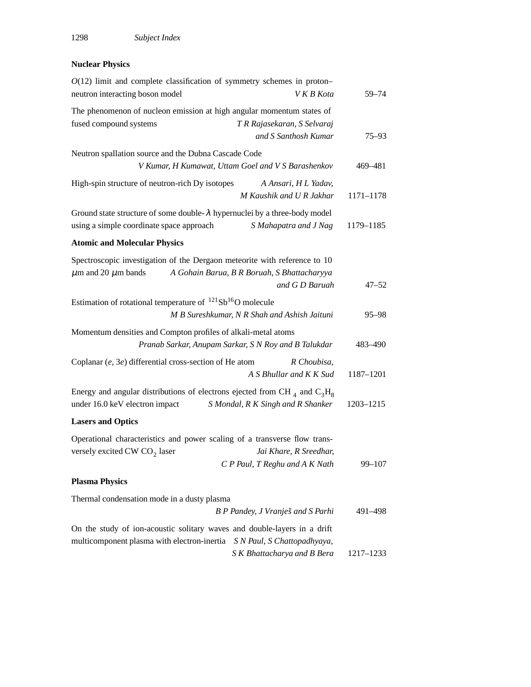## **Nuclear Physics**

| $O(12)$ limit and complete classification of symmetry schemes in proton-<br>neutron interacting boson model                                         | V K B Kota                                                    | $59 - 74$  |
|-----------------------------------------------------------------------------------------------------------------------------------------------------|---------------------------------------------------------------|------------|
| The phenomenon of nucleon emission at high angular momentum states of<br>fused compound systems                                                     | T R Rajasekaran, S Selvaraj                                   |            |
|                                                                                                                                                     | and S Santhosh Kumar                                          | $75 - 93$  |
| Neutron spallation source and the Dubna Cascade Code<br>V Kumar, H Kumawat, Uttam Goel and V S Barashenkov                                          |                                                               | 469-481    |
| High-spin structure of neutron-rich Dy isotopes                                                                                                     | A Ansari, H L Yadav,<br>M Kaushik and U R Jakhar              | 1171-1178  |
| Ground state structure of some double- $\lambda$ hypernuclei by a three-body model<br>using a simple coordinate space approach                      | S Mahapatra and J Nag                                         | 1179-1185  |
| <b>Atomic and Molecular Physics</b>                                                                                                                 |                                                               |            |
| Spectroscopic investigation of the Dergaon meteorite with reference to 10<br>$\mu$ m and 20 $\mu$ m bands                                           | A Gohain Barua, B R Boruah, S Bhattacharyya<br>and G D Baruah | $47 - 52$  |
| Estimation of rotational temperature of $^{121}Sb^{16}O$ molecule                                                                                   | M B Sureshkumar, N R Shah and Ashish Jaituni                  | $95 - 98$  |
| Momentum densities and Compton profiles of alkali-metal atoms<br>Pranab Sarkar, Anupam Sarkar, S N Roy and B Talukdar                               |                                                               | 483-490    |
| Coplanar $(e, 3e)$ differential cross-section of He atom                                                                                            | R Choubisa,<br>A S Bhullar and K K Sud                        | 1187-1201  |
| Energy and angular distributions of electrons ejected from CH $_4$ and C <sub>3</sub> H <sub>8</sub><br>under 16.0 keV electron impact              | S Mondal, R K Singh and R Shanker                             | 1203-1215  |
| <b>Lasers and Optics</b>                                                                                                                            |                                                               |            |
| Operational characteristics and power scaling of a transverse flow trans-<br>versely excited CW CO <sub>2</sub> laser                               | Jai Khare, R Sreedhar,<br>C P Paul, T Reghu and A K Nath      | $99 - 107$ |
| <b>Plasma Physics</b>                                                                                                                               |                                                               |            |
| Thermal condensation mode in a dusty plasma                                                                                                         |                                                               |            |
|                                                                                                                                                     | B P Pandey, J Vranješ and S Parhi                             | 491-498    |
| On the study of ion-acoustic solitary waves and double-layers in a drift<br>multicomponent plasma with electron-inertia S N Paul, S Chattopadhyaya, |                                                               |            |
|                                                                                                                                                     | S K Bhattacharya and B Bera                                   | 1217-1233  |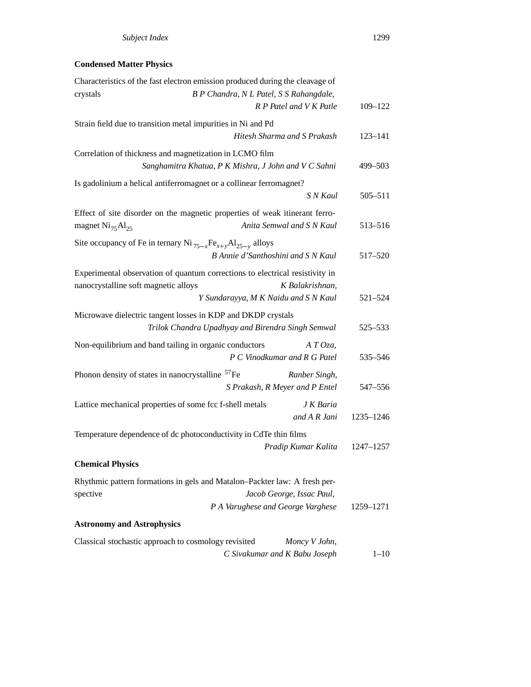## **Condensed Matter Physics**

| Characteristics of the fast electron emission produced during the cleavage of            |             |
|------------------------------------------------------------------------------------------|-------------|
| B P Chandra, N L Patel, S S Rahangdale,<br>crystals                                      |             |
| R P Patel and V K Patle                                                                  | $109 - 122$ |
| Strain field due to transition metal impurities in Ni and Pd                             |             |
| Hitesh Sharma and S Prakash                                                              | $123 - 141$ |
| Correlation of thickness and magnetization in LCMO film                                  |             |
| Sanghamitra Khatua, P K Mishra, J John and V C Sahni                                     | 499-503     |
| Is gadolinium a helical antiferromagnet or a collinear ferromagnet?                      |             |
| S N Kaul                                                                                 | 505-511     |
| Effect of site disorder on the magnetic properties of weak itinerant ferro-              |             |
| Anita Semwal and S N Kaul<br>magnet $\mathrm{Ni}_{75}\mathrm{Al}_{25}$                   | 513-516     |
| Site occupancy of Fe in ternary Ni $_{75-x}$ Fe <sub>x+y</sub> Al <sub>25-y</sub> alloys |             |
| B Annie d'Santhoshini and S N Kaul                                                       | 517-520     |
| Experimental observation of quantum corrections to electrical resistivity in             |             |
| nanocrystalline soft magnetic alloys<br>K Balakrishnan,                                  |             |
| Y Sundarayya, M K Naidu and S N Kaul                                                     | 521-524     |
| Microwave dielectric tangent losses in KDP and DKDP crystals                             |             |
| Trilok Chandra Upadhyay and Birendra Singh Semwal                                        | 525-533     |
| Non-equilibrium and band tailing in organic conductors<br>$A T O z a$ ,                  |             |
| P C Vinodkumar and R G Patel                                                             | 535-546     |
| Phonon density of states in nanocrystalline <sup>57</sup> Fe<br>Ranber Singh,            |             |
| S Prakash, R Meyer and P Entel                                                           | 547-556     |
| Lattice mechanical properties of some fcc f-shell metals<br>J K Baria                    |             |
| and A R Jani                                                                             | 1235-1246   |
| Temperature dependence of dc photoconductivity in CdTe thin films                        |             |
| Pradip Kumar Kalita                                                                      | 1247-1257   |
| <b>Chemical Physics</b>                                                                  |             |
| Rhythmic pattern formations in gels and Matalon-Packter law: A fresh per-                |             |
| spective<br>Jacob George, Issac Paul,                                                    |             |
| P A Varughese and George Varghese                                                        | 1259-1271   |
| <b>Astronomy and Astrophysics</b>                                                        |             |
| Classical stochastic approach to cosmology revisited<br>Moncy V John,                    |             |
| C Sivakumar and K Babu Joseph                                                            | $1 - 10$    |